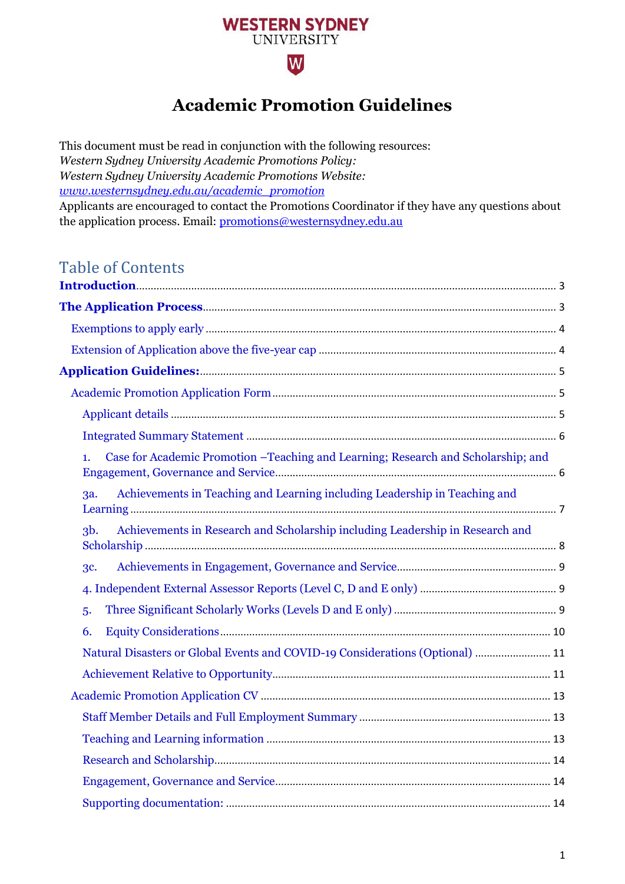

# **Academic Promotion Guidelines**

This document must be read in conjunction with the following resources: *Western Sydney University Academic Promotions Policy: Western Sydney University Academic Promotions Website: [www.westernsydney.edu.au/academic\\_promotion](http://www.westernsydney.edu.au/academic_promotion)*  Applicants are encouraged to contact the Promotions Coordinator if they have any questions about the application process. Email: [promotions@westernsydney.edu.au](mailto:promotions@westernsydney.edu.au)

### Table of Contents

| Case for Academic Promotion -Teaching and Learning; Research and Scholarship; and<br>1. |  |
|-----------------------------------------------------------------------------------------|--|
| Achievements in Teaching and Learning including Leadership in Teaching and<br>3a.       |  |
| Achievements in Research and Scholarship including Leadership in Research and<br>$3b$ . |  |
| <b>3c.</b>                                                                              |  |
|                                                                                         |  |
| 5.                                                                                      |  |
| 6.                                                                                      |  |
| Natural Disasters or Global Events and COVID-19 Considerations (Optional)  11           |  |
|                                                                                         |  |
|                                                                                         |  |
|                                                                                         |  |
|                                                                                         |  |
|                                                                                         |  |
|                                                                                         |  |
|                                                                                         |  |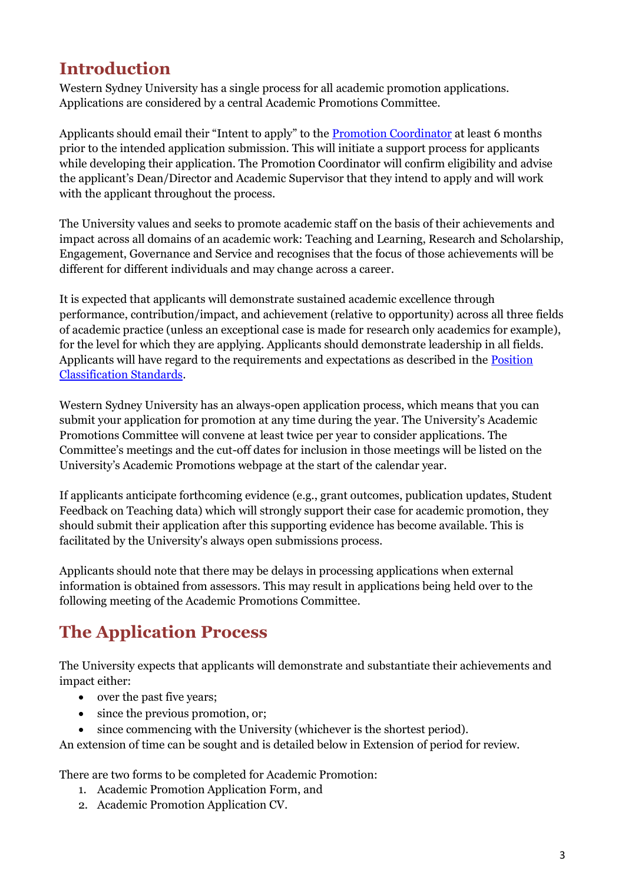# <span id="page-2-0"></span>**Introduction**

Western Sydney University has a single process for all academic promotion applications. Applications are considered by a central Academic Promotions Committee.

Applicants should email their "Intent to apply" to the [Promotion Coordinator](mailto:promotions@westernsydney.edu.au) at least 6 months prior to the intended application submission. This will initiate a support process for applicants while developing their application. The Promotion Coordinator will confirm eligibility and advise the applicant's Dean/Director and Academic Supervisor that they intend to apply and will work with the applicant throughout the process.

The University values and seeks to promote academic staff on the basis of their achievements and impact across all domains of an academic work: Teaching and Learning, Research and Scholarship, Engagement, Governance and Service and recognises that the focus of those achievements will be different for different individuals and may change across a career.

It is expected that applicants will demonstrate sustained academic excellence through performance, contribution/impact, and achievement (relative to opportunity) across all three fields of academic practice (unless an exceptional case is made for research only academics for example), for the level for which they are applying. Applicants should demonstrate leadership in all fields. Applicants will have regard to the requirements and expectations as described in the [Position](https://www.westernsydney.edu.au/__data/assets/pdf_file/0011/1482347/Position_Classification_Standards_-_2017.pdf)  [Classification Standards.](https://www.westernsydney.edu.au/__data/assets/pdf_file/0011/1482347/Position_Classification_Standards_-_2017.pdf)

Western Sydney University has an always-open application process, which means that you can submit your application for promotion at any time during the year. The University's Academic Promotions Committee will convene at least twice per year to consider applications. The Committee's meetings and the cut-off dates for inclusion in those meetings will be listed on the University's Academic Promotions webpage at the start of the calendar year.

If applicants anticipate forthcoming evidence (e.g., grant outcomes, publication updates, Student Feedback on Teaching data) which will strongly support their case for academic promotion, they should submit their application after this supporting evidence has become available. This is facilitated by the University's always open submissions process.

Applicants should note that there may be delays in processing applications when external information is obtained from assessors. This may result in applications being held over to the following meeting of the Academic Promotions Committee.

# <span id="page-2-1"></span>**The Application Process**

The University expects that applicants will demonstrate and substantiate their achievements and impact either:

- over the past five years;
- since the previous promotion, or;
- since commencing with the University (whichever is the shortest period).

An extension of time can be sought and is detailed below in Extension of period for review.

There are two forms to be completed for Academic Promotion:

- 1. Academic Promotion Application Form, and
- 2. Academic Promotion Application CV.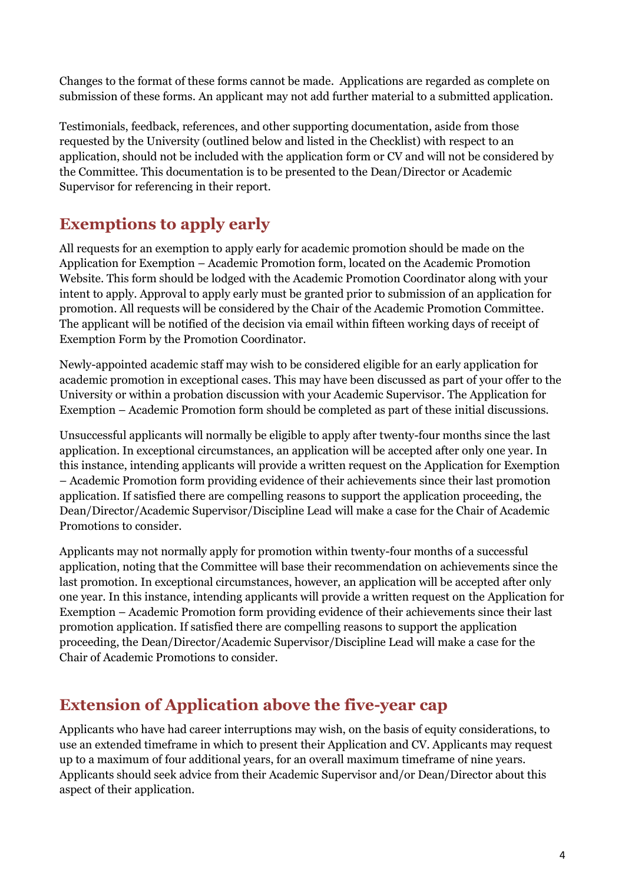Changes to the format of these forms cannot be made. Applications are regarded as complete on submission of these forms. An applicant may not add further material to a submitted application.

Testimonials, feedback, references, and other supporting documentation, aside from those requested by the University (outlined below and listed in the Checklist) with respect to an application, should not be included with the application form or CV and will not be considered by the Committee. This documentation is to be presented to the Dean/Director or Academic Supervisor for referencing in their report.

## <span id="page-3-0"></span>**Exemptions to apply early**

All requests for an exemption to apply early for academic promotion should be made on the Application for Exemption – Academic Promotion form, located on the Academic Promotion Website. This form should be lodged with the Academic Promotion Coordinator along with your intent to apply. Approval to apply early must be granted prior to submission of an application for promotion. All requests will be considered by the Chair of the Academic Promotion Committee. The applicant will be notified of the decision via email within fifteen working days of receipt of Exemption Form by the Promotion Coordinator.

Newly-appointed academic staff may wish to be considered eligible for an early application for academic promotion in exceptional cases. This may have been discussed as part of your offer to the University or within a probation discussion with your Academic Supervisor. The Application for Exemption – Academic Promotion form should be completed as part of these initial discussions.

Unsuccessful applicants will normally be eligible to apply after twenty-four months since the last application. In exceptional circumstances, an application will be accepted after only one year. In this instance, intending applicants will provide a written request on the Application for Exemption – Academic Promotion form providing evidence of their achievements since their last promotion application. If satisfied there are compelling reasons to support the application proceeding, the Dean/Director/Academic Supervisor/Discipline Lead will make a case for the Chair of Academic Promotions to consider.

Applicants may not normally apply for promotion within twenty-four months of a successful application, noting that the Committee will base their recommendation on achievements since the last promotion. In exceptional circumstances, however, an application will be accepted after only one year. In this instance, intending applicants will provide a written request on the Application for Exemption – Academic Promotion form providing evidence of their achievements since their last promotion application. If satisfied there are compelling reasons to support the application proceeding, the Dean/Director/Academic Supervisor/Discipline Lead will make a case for the Chair of Academic Promotions to consider.

## <span id="page-3-1"></span>**Extension of Application above the five-year cap**

Applicants who have had career interruptions may wish, on the basis of equity considerations, to use an extended timeframe in which to present their Application and CV. Applicants may request up to a maximum of four additional years, for an overall maximum timeframe of nine years. Applicants should seek advice from their Academic Supervisor and/or Dean/Director about this aspect of their application.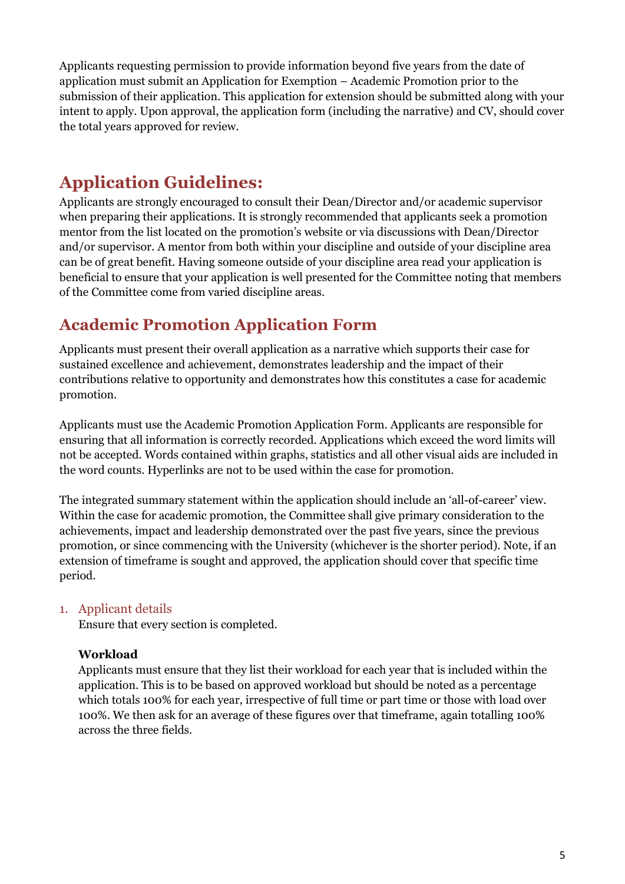Applicants requesting permission to provide information beyond five years from the date of application must submit an Application for Exemption – Academic Promotion prior to the submission of their application. This application for extension should be submitted along with your intent to apply. Upon approval, the application form (including the narrative) and CV, should cover the total years approved for review.

# <span id="page-4-0"></span>**Application Guidelines:**

Applicants are strongly encouraged to consult their Dean/Director and/or academic supervisor when preparing their applications. It is strongly recommended that applicants seek a promotion mentor from the list located on the promotion's website or via discussions with Dean/Director and/or supervisor. A mentor from both within your discipline and outside of your discipline area can be of great benefit. Having someone outside of your discipline area read your application is beneficial to ensure that your application is well presented for the Committee noting that members of the Committee come from varied discipline areas.

## <span id="page-4-1"></span>**Academic Promotion Application Form**

Applicants must present their overall application as a narrative which supports their case for sustained excellence and achievement, demonstrates leadership and the impact of their contributions relative to opportunity and demonstrates how this constitutes a case for academic promotion.

Applicants must use the Academic Promotion Application Form. Applicants are responsible for ensuring that all information is correctly recorded. Applications which exceed the word limits will not be accepted. Words contained within graphs, statistics and all other visual aids are included in the word counts. Hyperlinks are not to be used within the case for promotion.

The integrated summary statement within the application should include an 'all-of-career' view. Within the case for academic promotion, the Committee shall give primary consideration to the achievements, impact and leadership demonstrated over the past five years, since the previous promotion, or since commencing with the University (whichever is the shorter period). Note, if an extension of timeframe is sought and approved, the application should cover that specific time period.

#### <span id="page-4-2"></span>1. Applicant details

Ensure that every section is completed.

#### **Workload**

Applicants must ensure that they list their workload for each year that is included within the application. This is to be based on approved workload but should be noted as a percentage which totals 100% for each year, irrespective of full time or part time or those with load over 100%. We then ask for an average of these figures over that timeframe, again totalling 100% across the three fields.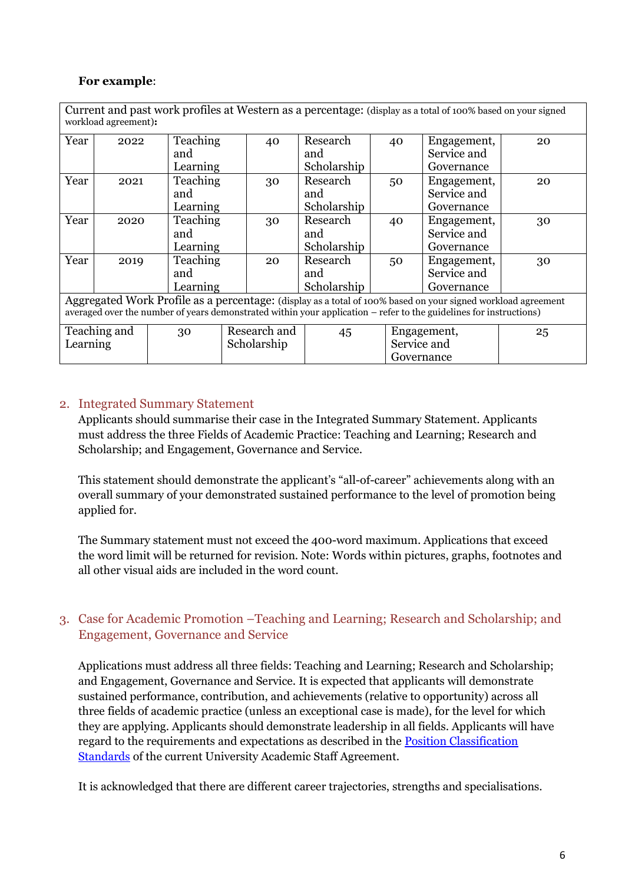#### **For example**:

| Current and past work profiles at Western as a percentage: (display as a total of 100% based on your signed<br>workload agreement):                                                                                                |      |                 |              |    |             |  |             |             |    |
|------------------------------------------------------------------------------------------------------------------------------------------------------------------------------------------------------------------------------------|------|-----------------|--------------|----|-------------|--|-------------|-------------|----|
| Year                                                                                                                                                                                                                               | 2022 | Teaching        |              | 40 | Research    |  | 40          | Engagement, | 20 |
|                                                                                                                                                                                                                                    |      | and             |              |    | and         |  |             | Service and |    |
|                                                                                                                                                                                                                                    |      | Learning        |              |    | Scholarship |  |             | Governance  |    |
| Year                                                                                                                                                                                                                               | 2021 | Teaching        |              | 30 | Research    |  | 50          | Engagement, | 20 |
|                                                                                                                                                                                                                                    |      | and             |              |    | and         |  |             | Service and |    |
|                                                                                                                                                                                                                                    |      | Learning        |              |    | Scholarship |  |             | Governance  |    |
| Year                                                                                                                                                                                                                               | 2020 | Teaching        |              | 30 | Research    |  | 40          | Engagement, | 30 |
|                                                                                                                                                                                                                                    |      | and             |              |    | and         |  |             | Service and |    |
|                                                                                                                                                                                                                                    |      | Learning        |              |    | Scholarship |  |             | Governance  |    |
| Year                                                                                                                                                                                                                               | 2019 | <b>Teaching</b> |              | 20 | Research    |  | 50          | Engagement, | 30 |
|                                                                                                                                                                                                                                    |      | and             |              |    | and         |  |             | Service and |    |
|                                                                                                                                                                                                                                    |      | Learning        |              |    | Scholarship |  |             | Governance  |    |
| Aggregated Work Profile as a percentage: (display as a total of 100% based on your signed workload agreement<br>averaged over the number of years demonstrated within your application – refer to the guidelines for instructions) |      |                 |              |    |             |  |             |             |    |
| Teaching and                                                                                                                                                                                                                       |      | 30              | Research and |    | 45          |  | Engagement, |             | 25 |
| Learning                                                                                                                                                                                                                           |      |                 | Scholarship  |    |             |  | Service and |             |    |
|                                                                                                                                                                                                                                    |      |                 | Governance   |    |             |  |             |             |    |

#### <span id="page-5-0"></span>2. Integrated Summary Statement

Applicants should summarise their case in the Integrated Summary Statement. Applicants must address the three Fields of Academic Practice: Teaching and Learning; Research and Scholarship; and Engagement, Governance and Service.

This statement should demonstrate the applicant's "all-of-career" achievements along with an overall summary of your demonstrated sustained performance to the level of promotion being applied for.

The Summary statement must not exceed the 400-word maximum. Applications that exceed the word limit will be returned for revision. Note: Words within pictures, graphs, footnotes and all other visual aids are included in the word count.

#### <span id="page-5-1"></span>3. Case for Academic Promotion –Teaching and Learning; Research and Scholarship; and Engagement, Governance and Service

Applications must address all three fields: Teaching and Learning; Research and Scholarship; and Engagement, Governance and Service. It is expected that applicants will demonstrate sustained performance, contribution, and achievements (relative to opportunity) across all three fields of academic practice (unless an exceptional case is made), for the level for which they are applying. Applicants should demonstrate leadership in all fields. Applicants will have regard to the requirements and expectations as described in the [Position Classification](https://www.westernsydney.edu.au/__data/assets/pdf_file/0011/1482347/Position_Classification_Standards_-_2017.pdf)  [Standards](https://www.westernsydney.edu.au/__data/assets/pdf_file/0011/1482347/Position_Classification_Standards_-_2017.pdf) of the current University Academic Staff Agreement.

It is acknowledged that there are different career trajectories, strengths and specialisations.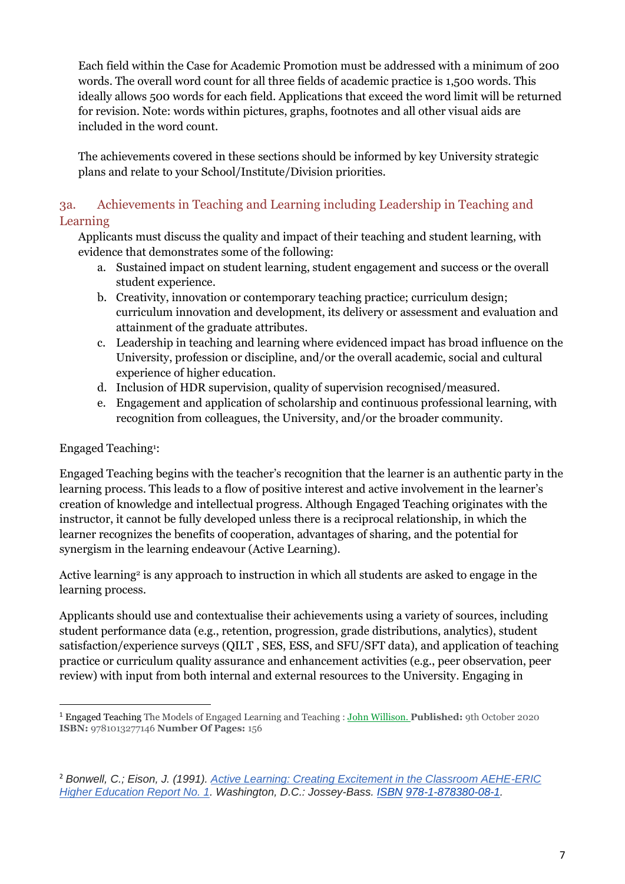Each field within the Case for Academic Promotion must be addressed with a minimum of 200 words. The overall word count for all three fields of academic practice is 1,500 words. This ideally allows 500 words for each field. Applications that exceed the word limit will be returned for revision. Note: words within pictures, graphs, footnotes and all other visual aids are included in the word count.

The achievements covered in these sections should be informed by key University strategic plans and relate to your School/Institute/Division priorities.

#### <span id="page-6-0"></span>3a. Achievements in Teaching and Learning including Leadership in Teaching and Learning

Applicants must discuss the quality and impact of their teaching and student learning, with evidence that demonstrates some of the following:

- a. Sustained impact on student learning, student engagement and success or the overall student experience.
- b. Creativity, innovation or contemporary teaching practice; curriculum design; curriculum innovation and development, its delivery or assessment and evaluation and attainment of the graduate attributes.
- c. Leadership in teaching and learning where evidenced impact has broad influence on the University, profession or discipline, and/or the overall academic, social and cultural experience of higher education.
- d. Inclusion of HDR supervision, quality of supervision recognised/measured.
- e. Engagement and application of scholarship and continuous professional learning, with recognition from colleagues, the University, and/or the broader community.

#### Engaged Teaching<sup>1</sup> :

Engaged Teaching begins with the teacher's recognition that the learner is an authentic party in the learning process. This leads to a flow of positive interest and active involvement in the learner's creation of knowledge and intellectual progress. Although Engaged Teaching originates with the instructor, it cannot be fully developed unless there is a reciprocal relationship, in which the learner recognizes the benefits of cooperation, advantages of sharing, and the potential for synergism in the learning endeavour (Active Learning).

Active learning<sup>2</sup> is any approach to instruction in which all students are asked to engage in the learning process.

Applicants should use and contextualise their achievements using a variety of sources, including student performance data (e.g., retention, progression, grade distributions, analytics), student satisfaction/experience surveys (QILT , SES, ESS, and SFU/SFT data), and application of teaching practice or curriculum quality assurance and enhancement activities (e.g., peer observation, peer review) with input from both internal and external resources to the University. Engaging in

<sup>1</sup> Engaged Teaching The Models of Engaged Learning and Teaching : [John Willison.](https://www.booktopia.com.au/search.ep?author=John%20Willison) **Published:** 9th October 2020 **ISBN:** 9781013277146 **Number Of Pages:** 156

<sup>2</sup> *Bonwell, C.; Eison, J. (1991). [Active Learning: Creating Excitement in the Classroom AEHE-ERIC](https://archive.org/details/activelearningcr0000bonw)  [Higher Education Report No. 1.](https://archive.org/details/activelearningcr0000bonw) Washington, D.C.: Jossey-Bass. [ISBN](https://en.wikipedia.org/wiki/ISBN_(identifier)) [978-1-878380-08-1.](https://en.wikipedia.org/wiki/Special:BookSources/978-1-878380-08-1)*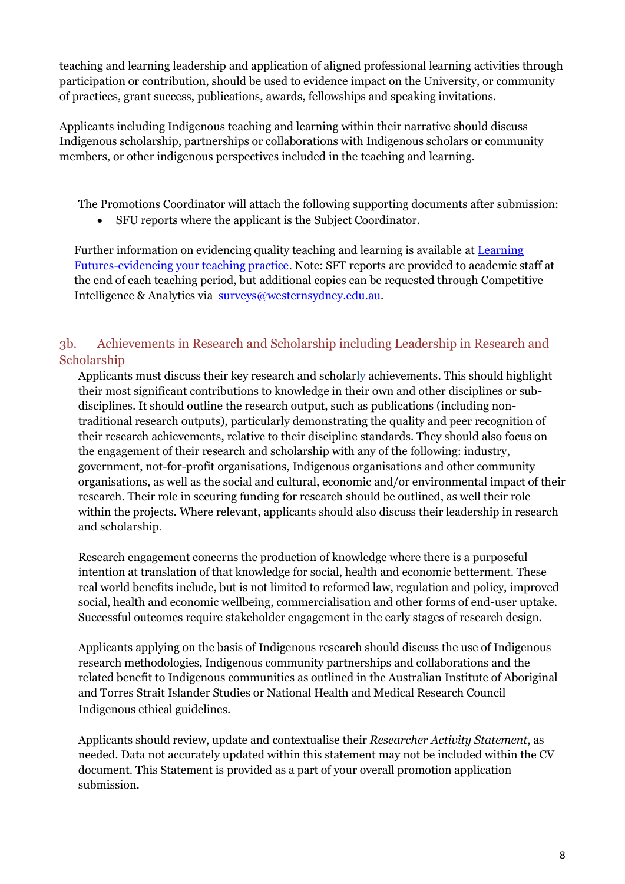teaching and learning leadership and application of aligned professional learning activities through participation or contribution, should be used to evidence impact on the University, or community of practices, grant success, publications, awards, fellowships and speaking invitations.

Applicants including Indigenous teaching and learning within their narrative should discuss Indigenous scholarship, partnerships or collaborations with Indigenous scholars or community members, or other indigenous perspectives included in the teaching and learning.

The Promotions Coordinator will attach the following supporting documents after submission:

• SFU reports where the applicant is the Subject Coordinator.

Further information on evidencing quality teaching and learning is available at [Learning](https://www.westernsydney.edu.au/learning_futures/home/professional_learning/evidencing_your_practice)  [Futures-evidencing your teaching practice.](https://www.westernsydney.edu.au/learning_futures/home/professional_learning/evidencing_your_practice) Note: SFT reports are provided to academic staff at the end of each teaching period, but additional copies can be requested through Competitive Intelligence & Analytics via [surveys@westernsydney.edu.au.](mailto:surveys@westernsydney.edu.au)

#### <span id="page-7-0"></span>3b. Achievements in Research and Scholarship including Leadership in Research and Scholarship

Applicants must discuss their key research and scholarly achievements. This should highlight their most significant contributions to knowledge in their own and other disciplines or subdisciplines. It should outline the research output, such as publications (including nontraditional research outputs), particularly demonstrating the quality and peer recognition of their research achievements, relative to their discipline standards. They should also focus on the engagement of their research and scholarship with any of the following: industry, government, not-for-profit organisations, Indigenous organisations and other community organisations, as well as the social and cultural, economic and/or environmental impact of their research. Their role in securing funding for research should be outlined, as well their role within the projects. Where relevant, applicants should also discuss their leadership in research and scholarship.

Research engagement concerns the production of knowledge where there is a purposeful intention at translation of that knowledge for social, health and economic betterment. These real world benefits include, but is not limited to reformed law, regulation and policy, improved social, health and economic wellbeing, commercialisation and other forms of end-user uptake. Successful outcomes require stakeholder engagement in the early stages of research design.

Applicants applying on the basis of Indigenous research should discuss the use of Indigenous research methodologies, Indigenous community partnerships and collaborations and the related benefit to Indigenous communities as outlined in the Australian Institute of Aboriginal and Torres Strait Islander Studies or National Health and Medical Research Council Indigenous ethical guidelines.

Applicants should review, update and contextualise their *Researcher Activity Statement*, as needed. Data not accurately updated within this statement may not be included within the CV document. This Statement is provided as a part of your overall promotion application submission.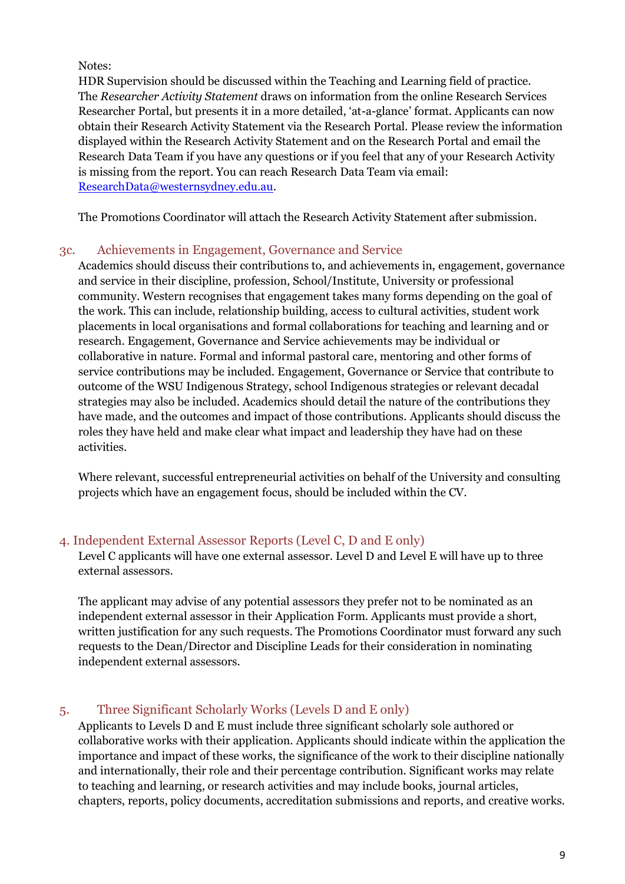Notes:

HDR Supervision should be discussed within the Teaching and Learning field of practice. The *Researcher Activity Statement* draws on information from the online Research Services Researcher Portal, but presents it in a more detailed, 'at-a-glance' format. Applicants can now obtain their Research Activity Statement via the Research Portal. Please review the information displayed within the Research Activity Statement and on the Research Portal and email the Research Data Team if you have any questions or if you feel that any of your Research Activity is missing from the report. You can reach Research Data Team via email: [ResearchData@westernsydney.edu.au.](mailto:ResearchData@westernsydney.edu.au)

The Promotions Coordinator will attach the Research Activity Statement after submission.

#### <span id="page-8-0"></span>3c. Achievements in Engagement, Governance and Service

Academics should discuss their contributions to, and achievements in, engagement, governance and service in their discipline, profession, School/Institute, University or professional community. Western recognises that engagement takes many forms depending on the goal of the work. This can include, relationship building, access to cultural activities, student work placements in local organisations and formal collaborations for teaching and learning and or research. Engagement, Governance and Service achievements may be individual or collaborative in nature. Formal and informal pastoral care, mentoring and other forms of service contributions may be included. Engagement, Governance or Service that contribute to outcome of the WSU Indigenous Strategy, school Indigenous strategies or relevant decadal strategies may also be included. Academics should detail the nature of the contributions they have made, and the outcomes and impact of those contributions. Applicants should discuss the roles they have held and make clear what impact and leadership they have had on these activities.

Where relevant, successful entrepreneurial activities on behalf of the University and consulting projects which have an engagement focus, should be included within the CV.

#### <span id="page-8-1"></span>4. Independent External Assessor Reports (Level C, D and E only)

Level C applicants will have one external assessor. Level D and Level E will have up to three external assessors.

The applicant may advise of any potential assessors they prefer not to be nominated as an independent external assessor in their Application Form. Applicants must provide a short, written justification for any such requests. The Promotions Coordinator must forward any such requests to the Dean/Director and Discipline Leads for their consideration in nominating independent external assessors.

#### <span id="page-8-2"></span>5. Three Significant Scholarly Works (Levels D and E only)

Applicants to Levels D and E must include three significant scholarly sole authored or collaborative works with their application. Applicants should indicate within the application the importance and impact of these works, the significance of the work to their discipline nationally and internationally, their role and their percentage contribution. Significant works may relate to teaching and learning, or research activities and may include books, journal articles, chapters, reports, policy documents, accreditation submissions and reports, and creative works.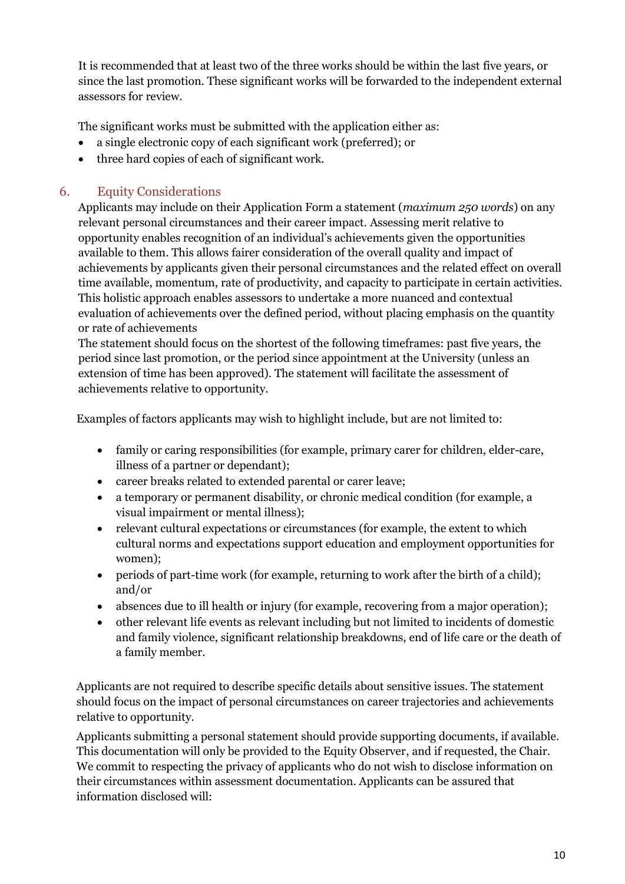It is recommended that at least two of the three works should be within the last five years, or since the last promotion. These significant works will be forwarded to the independent external assessors for review.

The significant works must be submitted with the application either as:

- a single electronic copy of each significant work (preferred); or
- three hard copies of each of significant work.

#### <span id="page-9-0"></span>6. Equity Considerations

Applicants may include on their Application Form a statement (*maximum 250 words*) on any relevant personal circumstances and their career impact. Assessing merit relative to opportunity enables recognition of an individual's achievements given the opportunities available to them. This allows fairer consideration of the overall quality and impact of achievements by applicants given their personal circumstances and the related effect on overall time available, momentum, rate of productivity, and capacity to participate in certain activities. This holistic approach enables assessors to undertake a more nuanced and contextual evaluation of achievements over the defined period, without placing emphasis on the quantity or rate of achievements

The statement should focus on the shortest of the following timeframes: past five years, the period since last promotion, or the period since appointment at the University (unless an extension of time has been approved). The statement will facilitate the assessment of achievements relative to opportunity.

Examples of factors applicants may wish to highlight include, but are not limited to:

- family or caring responsibilities (for example, primary carer for children, elder-care, illness of a partner or dependant);
- career breaks related to extended parental or carer leave;
- a temporary or permanent disability, or chronic medical condition (for example, a visual impairment or mental illness);
- relevant cultural expectations or circumstances (for example, the extent to which cultural norms and expectations support education and employment opportunities for women);
- periods of part-time work (for example, returning to work after the birth of a child); and/or
- absences due to ill health or injury (for example, recovering from a major operation);
- other relevant life events as relevant including but not limited to incidents of domestic and family violence, significant relationship breakdowns, end of life care or the death of a family member.

Applicants are not required to describe specific details about sensitive issues. The statement should focus on the impact of personal circumstances on career trajectories and achievements relative to opportunity.

Applicants submitting a personal statement should provide supporting documents, if available. This documentation will only be provided to the Equity Observer, and if requested, the Chair. We commit to respecting the privacy of applicants who do not wish to disclose information on their circumstances within assessment documentation. Applicants can be assured that information disclosed will: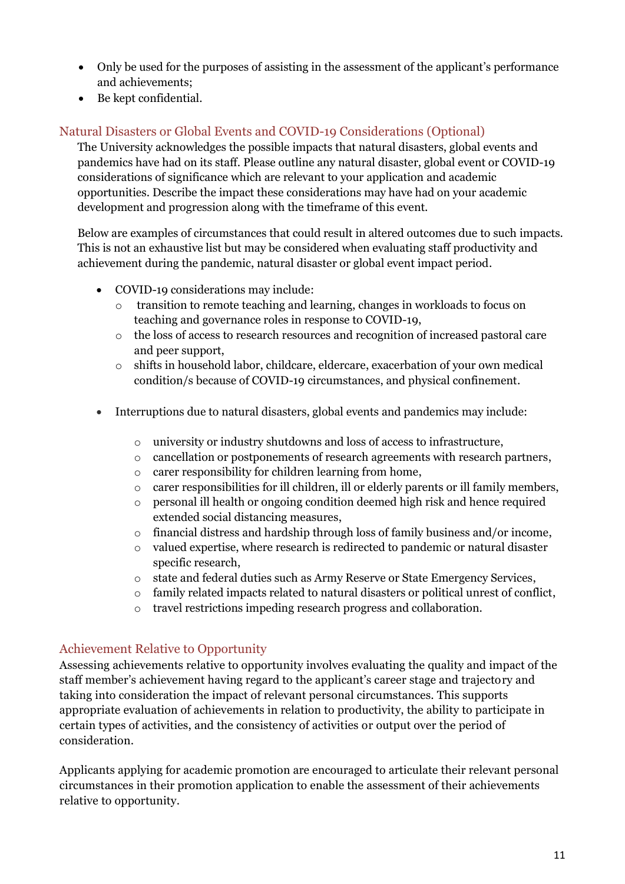- Only be used for the purposes of assisting in the assessment of the applicant's performance and achievements;
- Be kept confidential.

#### <span id="page-10-0"></span>Natural Disasters or Global Events and COVID-19 Considerations (Optional)

The University acknowledges the possible impacts that natural disasters, global events and pandemics have had on its staff. Please outline any natural disaster, global event or COVID-19 considerations of significance which are relevant to your application and academic opportunities. Describe the impact these considerations may have had on your academic development and progression along with the timeframe of this event.

Below are examples of circumstances that could result in altered outcomes due to such impacts. This is not an exhaustive list but may be considered when evaluating staff productivity and achievement during the pandemic, natural disaster or global event impact period.

- COVID-19 considerations may include:
	- o transition to remote teaching and learning, changes in workloads to focus on teaching and governance roles in response to COVID-19,
	- o the loss of access to research resources and recognition of increased pastoral care and peer support,
	- o shifts in household labor, childcare, eldercare, exacerbation of your own medical condition/s because of COVID-19 circumstances, and physical confinement.
- Interruptions due to natural disasters, global events and pandemics may include:
	- o university or industry shutdowns and loss of access to infrastructure,
	- o cancellation or postponements of research agreements with research partners,
	- o carer responsibility for children learning from home,
	- o carer responsibilities for ill children, ill or elderly parents or ill family members,
	- o personal ill health or ongoing condition deemed high risk and hence required extended social distancing measures,
	- o financial distress and hardship through loss of family business and/or income,
	- o valued expertise, where research is redirected to pandemic or natural disaster specific research,
	- o state and federal duties such as Army Reserve or State Emergency Services,
	- o family related impacts related to natural disasters or political unrest of conflict,
	- o travel restrictions impeding research progress and collaboration.

#### <span id="page-10-1"></span>Achievement Relative to Opportunity

Assessing achievements relative to opportunity involves evaluating the quality and impact of the staff member's achievement having regard to the applicant's career stage and trajectory and taking into consideration the impact of relevant personal circumstances. This supports appropriate evaluation of achievements in relation to productivity, the ability to participate in certain types of activities, and the consistency of activities or output over the period of consideration.

Applicants applying for academic promotion are encouraged to articulate their relevant personal circumstances in their promotion application to enable the assessment of their achievements relative to opportunity.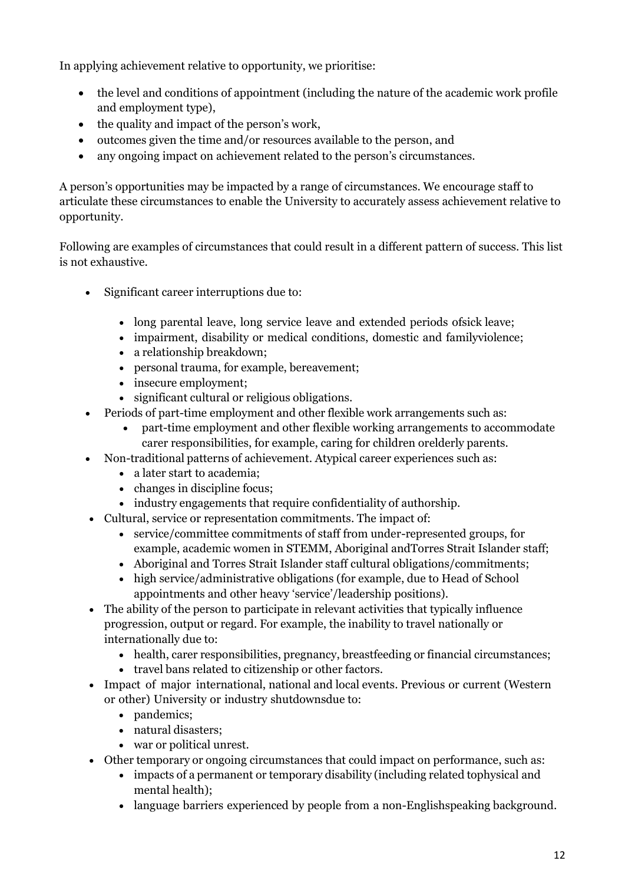In applying achievement relative to opportunity, we prioritise:

- the level and conditions of appointment (including the nature of the academic work profile and employment type),
- the quality and impact of the person's work,
- outcomes given the time and/or resources available to the person, and
- any ongoing impact on achievement related to the person's circumstances.

A person's opportunities may be impacted by a range of circumstances. We encourage staff to articulate these circumstances to enable the University to accurately assess achievement relative to opportunity.

Following are examples of circumstances that could result in a different pattern of success. This list is not exhaustive.

- Significant career interruptions due to:
	- long parental leave, long service leave and extended periods ofsick leave;
	- impairment, disability or medical conditions, domestic and familyviolence;
	- a relationship breakdown;
	- personal trauma, for example, bereavement;
	- insecure employment;
	- significant cultural or religious obligations.
- Periods of part-time employment and other flexible work arrangements such as:
	- part-time employment and other flexible working arrangements to accommodate carer responsibilities, for example, caring for children orelderly parents.
	- Non-traditional patterns of achievement. Atypical career experiences such as:
		- a later start to academia;
		- changes in discipline focus;
		- industry engagements that require confidentiality of authorship.
- Cultural, service or representation commitments. The impact of:
	- service/committee commitments of staff from under-represented groups, for example, academic women in STEMM, Aboriginal andTorres Strait Islander staff;
	- Aboriginal and Torres Strait Islander staff cultural obligations/commitments;
	- high service/administrative obligations (for example, due to Head of School appointments and other heavy 'service'/leadership positions).
- The ability of the person to participate in relevant activities that typically influence progression, output or regard. For example, the inability to travel nationally or internationally due to:
	- health, carer responsibilities, pregnancy, breastfeeding or financial circumstances;
	- travel bans related to citizenship or other factors.
- Impact of major international, national and local events. Previous or current (Western or other) University or industry shutdownsdue to:
	- pandemics;
	- natural disasters;
	- war or political unrest.
- Other temporary or ongoing circumstances that could impact on performance, such as:
	- impacts of a permanent or temporary disability (including related tophysical and mental health);
	- language barriers experienced by people from a non-Englishspeaking background.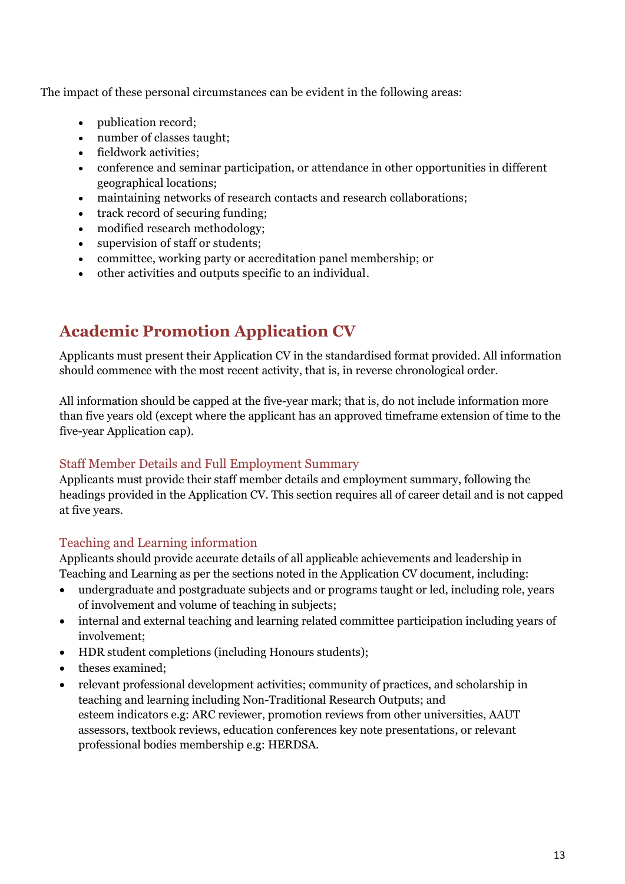The impact of these personal circumstances can be evident in the following areas:

- publication record;
- number of classes taught;
- fieldwork activities;
- conference and seminar participation, or attendance in other opportunities in different geographical locations;
- maintaining networks of research contacts and research collaborations;
- track record of securing funding:
- modified research methodology;
- supervision of staff or students;
- committee, working party or accreditation panel membership; or
- other activities and outputs specific to an individual.

# <span id="page-12-0"></span>**Academic Promotion Application CV**

Applicants must present their Application CV in the standardised format provided. All information should commence with the most recent activity, that is, in reverse chronological order.

All information should be capped at the five-year mark; that is, do not include information more than five years old (except where the applicant has an approved timeframe extension of time to the five-year Application cap).

#### <span id="page-12-1"></span>Staff Member Details and Full Employment Summary

Applicants must provide their staff member details and employment summary, following the headings provided in the Application CV. This section requires all of career detail and is not capped at five years.

#### <span id="page-12-2"></span>Teaching and Learning information

Applicants should provide accurate details of all applicable achievements and leadership in Teaching and Learning as per the sections noted in the Application CV document, including:

- undergraduate and postgraduate subjects and or programs taught or led, including role, years of involvement and volume of teaching in subjects;
- internal and external teaching and learning related committee participation including years of involvement;
- HDR student completions (including Honours students);
- theses examined;
- relevant professional development activities; community of practices, and scholarship in teaching and learning including Non-Traditional Research Outputs; and esteem indicators e.g: ARC reviewer, promotion reviews from other universities, AAUT assessors, textbook reviews, education conferences key note presentations, or relevant professional bodies membership e.g: HERDSA.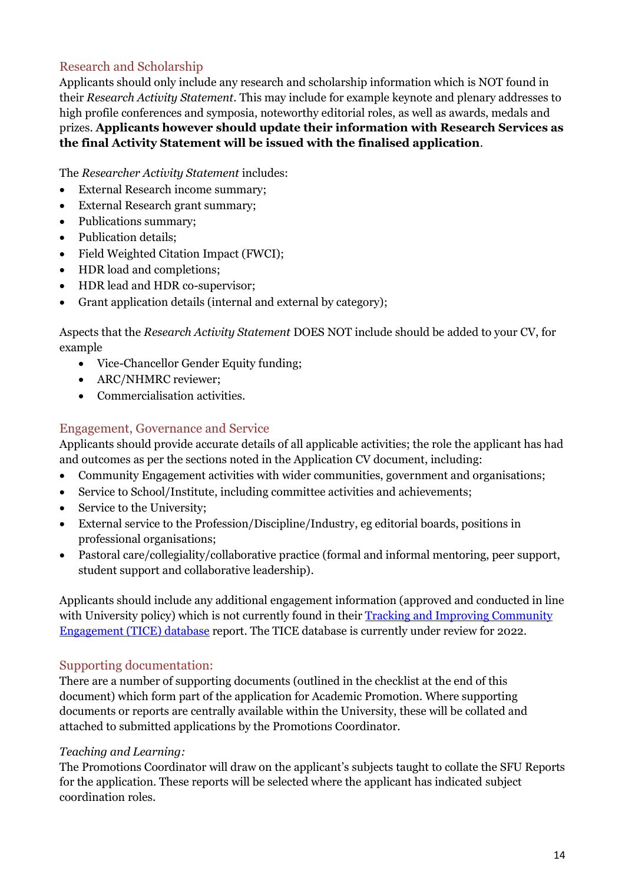#### <span id="page-13-0"></span>Research and Scholarship

Applicants should only include any research and scholarship information which is NOT found in their *Research Activity Statement*. This may include for example keynote and plenary addresses to high profile conferences and symposia, noteworthy editorial roles, as well as awards, medals and prizes. **Applicants however should update their information with Research Services as the final Activity Statement will be issued with the finalised application**.

The *Researcher Activity Statement* includes:

- External Research income summary;
- External Research grant summary;
- Publications summary;
- Publication details:
- Field Weighted Citation Impact (FWCI);
- HDR load and completions;
- HDR lead and HDR co-supervisor;
- Grant application details (internal and external by category);

Aspects that the *Research Activity Statement* DOES NOT include should be added to your CV, for example

- Vice-Chancellor Gender Equity funding;
- ARC/NHMRC reviewer;
- Commercialisation activities.

#### <span id="page-13-1"></span>Engagement, Governance and Service

Applicants should provide accurate details of all applicable activities; the role the applicant has had and outcomes as per the sections noted in the Application CV document, including:

- Community Engagement activities with wider communities, government and organisations;
- Service to School/Institute, including committee activities and achievements;
- Service to the University;
- External service to the Profession/Discipline/Industry, eg editorial boards, positions in professional organisations;
- Pastoral care/collegiality/collaborative practice (formal and informal mentoring, peer support, student support and collaborative leadership).

Applicants should include any additional engagement information (approved and conducted in line with University policy) which is not currently found in their Tracking and Improving Community [Engagement \(TICE\) database](https://engagement.westernsydney.edu.au/) report. The TICE database is currently under review for 2022.

#### <span id="page-13-2"></span>Supporting documentation:

There are a number of supporting documents (outlined in the checklist at the end of this document) which form part of the application for Academic Promotion. Where supporting documents or reports are centrally available within the University, these will be collated and attached to submitted applications by the Promotions Coordinator.

#### *Teaching and Learning:*

The Promotions Coordinator will draw on the applicant's subjects taught to collate the SFU Reports for the application. These reports will be selected where the applicant has indicated subject coordination roles.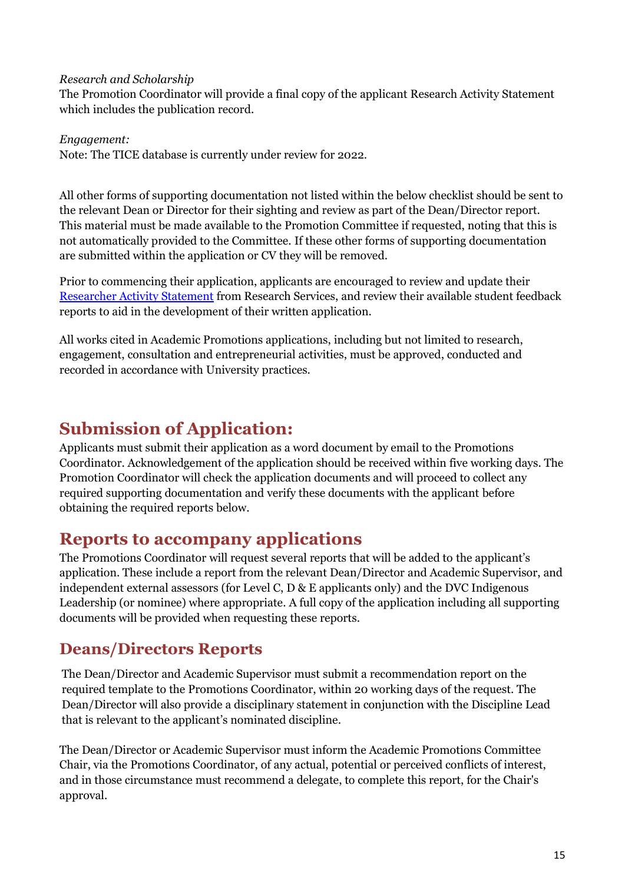#### *Research and Scholarship*

The Promotion Coordinator will provide a final copy of the applicant Research Activity Statement which includes the publication record.

*Engagement:*  Note: The TICE database is currently under review for 2022.

All other forms of supporting documentation not listed within the below checklist should be sent to the relevant Dean or Director for their sighting and review as part of the Dean/Director report. This material must be made available to the Promotion Committee if requested, noting that this is not automatically provided to the Committee. If these other forms of supporting documentation are submitted within the application or CV they will be removed.

Prior to commencing their application, applicants are encouraged to review and update their [Researcher Activity Statement](mailto:REDIdata@westernsydney.edu.au) from Research Services, and review their available student feedback reports to aid in the development of their written application.

All works cited in Academic Promotions applications, including but not limited to research, engagement, consultation and entrepreneurial activities, must be approved, conducted and recorded in accordance with University practices.

# <span id="page-14-0"></span>**Submission of Application:**

Applicants must submit their application as a word document by email to the Promotions Coordinator. Acknowledgement of the application should be received within five working days. The Promotion Coordinator will check the application documents and will proceed to collect any required supporting documentation and verify these documents with the applicant before obtaining the required reports below.

### <span id="page-14-1"></span>**Reports to accompany applications**

The Promotions Coordinator will request several reports that will be added to the applicant's application. These include a report from the relevant Dean/Director and Academic Supervisor, and independent external assessors (for Level C, D & E applicants only) and the DVC Indigenous Leadership (or nominee) where appropriate. A full copy of the application including all supporting documents will be provided when requesting these reports.

### <span id="page-14-2"></span>**Deans/Directors Reports**

The Dean/Director and Academic Supervisor must submit a recommendation report on the required template to the Promotions Coordinator, within 20 working days of the request. The Dean/Director will also provide a disciplinary statement in conjunction with the Discipline Lead that is relevant to the applicant's nominated discipline.

The Dean/Director or Academic Supervisor must inform the Academic Promotions Committee Chair, via the Promotions Coordinator, of any actual, potential or perceived conflicts of interest, and in those circumstance must recommend a delegate, to complete this report, for the Chair's approval.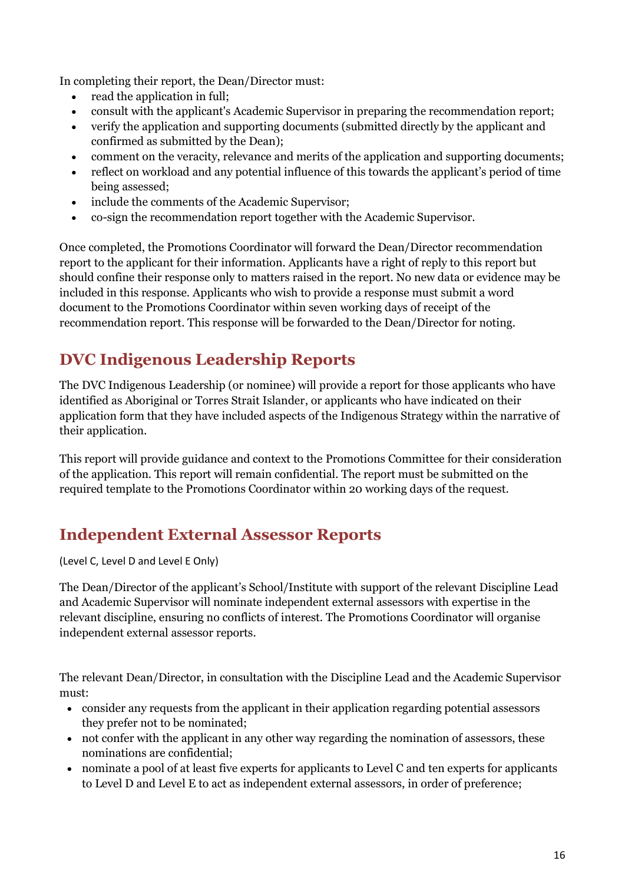In completing their report, the Dean/Director must:

- read the application in full;
- consult with the applicant's Academic Supervisor in preparing the recommendation report;
- verify the application and supporting documents (submitted directly by the applicant and confirmed as submitted by the Dean);
- comment on the veracity, relevance and merits of the application and supporting documents;
- reflect on workload and any potential influence of this towards the applicant's period of time being assessed;
- include the comments of the Academic Supervisor;
- co-sign the recommendation report together with the Academic Supervisor.

Once completed, the Promotions Coordinator will forward the Dean/Director recommendation report to the applicant for their information. Applicants have a right of reply to this report but should confine their response only to matters raised in the report. No new data or evidence may be included in this response. Applicants who wish to provide a response must submit a word document to the Promotions Coordinator within seven working days of receipt of the recommendation report. This response will be forwarded to the Dean/Director for noting.

# <span id="page-15-0"></span>**DVC Indigenous Leadership Reports**

The DVC Indigenous Leadership (or nominee) will provide a report for those applicants who have identified as Aboriginal or Torres Strait Islander, or applicants who have indicated on their application form that they have included aspects of the Indigenous Strategy within the narrative of their application.

This report will provide guidance and context to the Promotions Committee for their consideration of the application. This report will remain confidential. The report must be submitted on the required template to the Promotions Coordinator within 20 working days of the request.

## <span id="page-15-1"></span>**Independent External Assessor Reports**

(Level C, Level D and Level E Only)

The Dean/Director of the applicant's School/Institute with support of the relevant Discipline Lead and Academic Supervisor will nominate independent external assessors with expertise in the relevant discipline, ensuring no conflicts of interest. The Promotions Coordinator will organise independent external assessor reports.

The relevant Dean/Director, in consultation with the Discipline Lead and the Academic Supervisor must:

- consider any requests from the applicant in their application regarding potential assessors they prefer not to be nominated;
- not confer with the applicant in any other way regarding the nomination of assessors, these nominations are confidential;
- nominate a pool of at least five experts for applicants to Level C and ten experts for applicants to Level D and Level E to act as independent external assessors, in order of preference;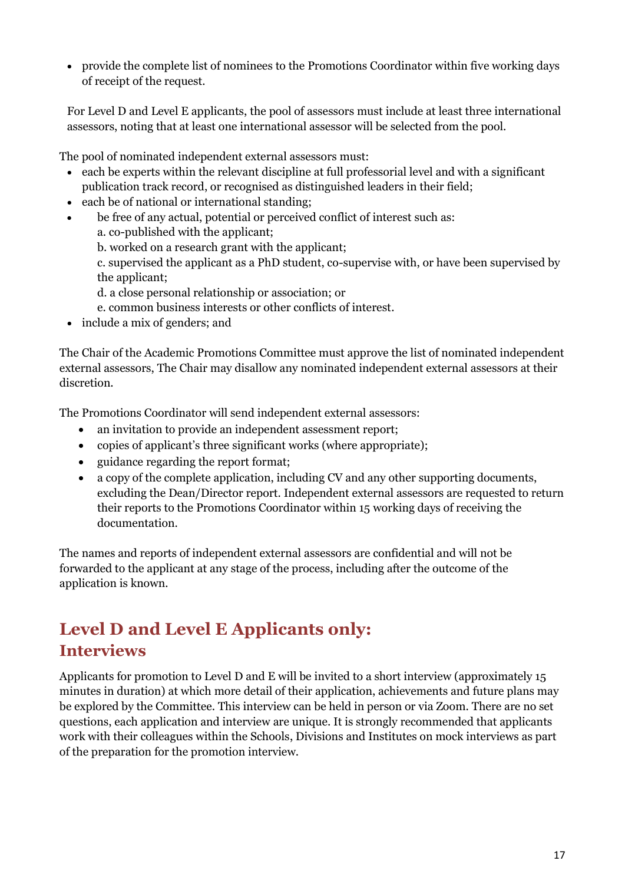• provide the complete list of nominees to the Promotions Coordinator within five working days of receipt of the request.

For Level D and Level E applicants, the pool of assessors must include at least three international assessors, noting that at least one international assessor will be selected from the pool.

The pool of nominated independent external assessors must:

- each be experts within the relevant discipline at full professorial level and with a significant publication track record, or recognised as distinguished leaders in their field;
- each be of national or international standing;
- be free of any actual, potential or perceived conflict of interest such as:
	- a. co-published with the applicant;
	- b. worked on a research grant with the applicant;
	- c. supervised the applicant as a PhD student, co-supervise with, or have been supervised by the applicant;
	- d. a close personal relationship or association; or
	- e. common business interests or other conflicts of interest.
- include a mix of genders; and

The Chair of the Academic Promotions Committee must approve the list of nominated independent external assessors, The Chair may disallow any nominated independent external assessors at their discretion.

The Promotions Coordinator will send independent external assessors:

- an invitation to provide an independent assessment report;
- copies of applicant's three significant works (where appropriate);
- guidance regarding the report format;
- a copy of the complete application, including CV and any other supporting documents, excluding the Dean/Director report. Independent external assessors are requested to return their reports to the Promotions Coordinator within 15 working days of receiving the documentation.

The names and reports of independent external assessors are confidential and will not be forwarded to the applicant at any stage of the process, including after the outcome of the application is known.

# <span id="page-16-1"></span><span id="page-16-0"></span>**Level D and Level E Applicants only: Interviews**

Applicants for promotion to Level D and E will be invited to a short interview (approximately 15 minutes in duration) at which more detail of their application, achievements and future plans may be explored by the Committee. This interview can be held in person or via Zoom. There are no set questions, each application and interview are unique. It is strongly recommended that applicants work with their colleagues within the Schools, Divisions and Institutes on mock interviews as part of the preparation for the promotion interview.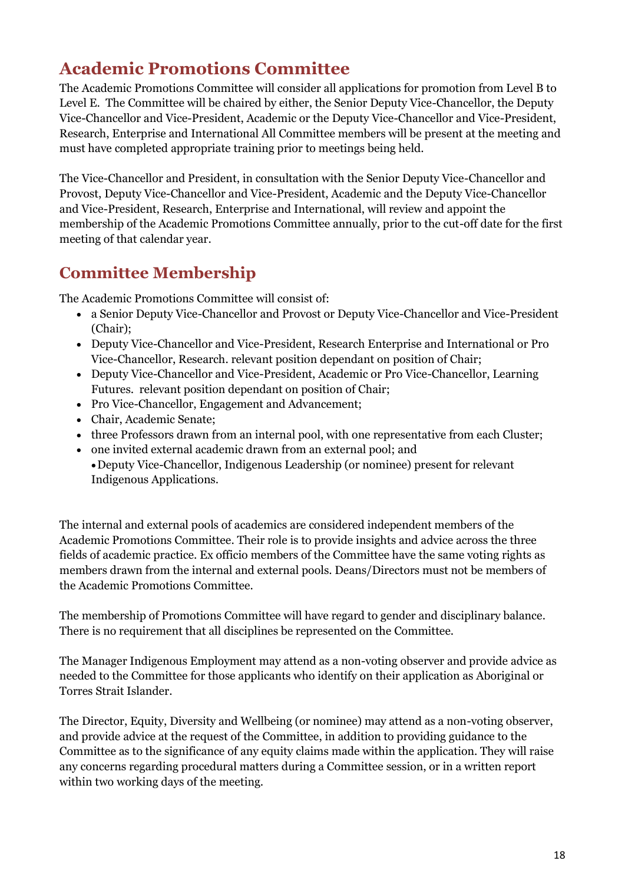# <span id="page-17-0"></span>**Academic Promotions Committee**

The Academic Promotions Committee will consider all applications for promotion from Level B to Level E. The Committee will be chaired by either, the Senior Deputy Vice-Chancellor, the Deputy Vice-Chancellor and Vice-President, Academic or the Deputy Vice-Chancellor and Vice-President, Research, Enterprise and International All Committee members will be present at the meeting and must have completed appropriate training prior to meetings being held.

The Vice-Chancellor and President, in consultation with the Senior Deputy Vice-Chancellor and Provost, Deputy Vice-Chancellor and Vice-President, Academic and the Deputy Vice-Chancellor and Vice-President, Research, Enterprise and International, will review and appoint the membership of the Academic Promotions Committee annually, prior to the cut-off date for the first meeting of that calendar year.

# <span id="page-17-1"></span>**Committee Membership**

The Academic Promotions Committee will consist of:

- a Senior Deputy Vice-Chancellor and Provost or Deputy Vice-Chancellor and Vice-President (Chair);
- Deputy Vice-Chancellor and Vice-President, Research Enterprise and International or Pro Vice-Chancellor, Research. relevant position dependant on position of Chair;
- Deputy Vice-Chancellor and Vice-President, Academic or Pro Vice-Chancellor, Learning Futures. relevant position dependant on position of Chair;
- Pro Vice-Chancellor, Engagement and Advancement;
- Chair, Academic Senate;
- three Professors drawn from an internal pool, with one representative from each Cluster;
- one invited external academic drawn from an external pool; and •Deputy Vice-Chancellor, Indigenous Leadership (or nominee) present for relevant Indigenous Applications.

The internal and external pools of academics are considered independent members of the Academic Promotions Committee. Their role is to provide insights and advice across the three fields of academic practice. Ex officio members of the Committee have the same voting rights as members drawn from the internal and external pools. Deans/Directors must not be members of the Academic Promotions Committee.

The membership of Promotions Committee will have regard to gender and disciplinary balance. There is no requirement that all disciplines be represented on the Committee.

The Manager Indigenous Employment may attend as a non-voting observer and provide advice as needed to the Committee for those applicants who identify on their application as Aboriginal or Torres Strait Islander.

The Director, Equity, Diversity and Wellbeing (or nominee) may attend as a non-voting observer, and provide advice at the request of the Committee, in addition to providing guidance to the Committee as to the significance of any equity claims made within the application. They will raise any concerns regarding procedural matters during a Committee session, or in a written report within two working days of the meeting.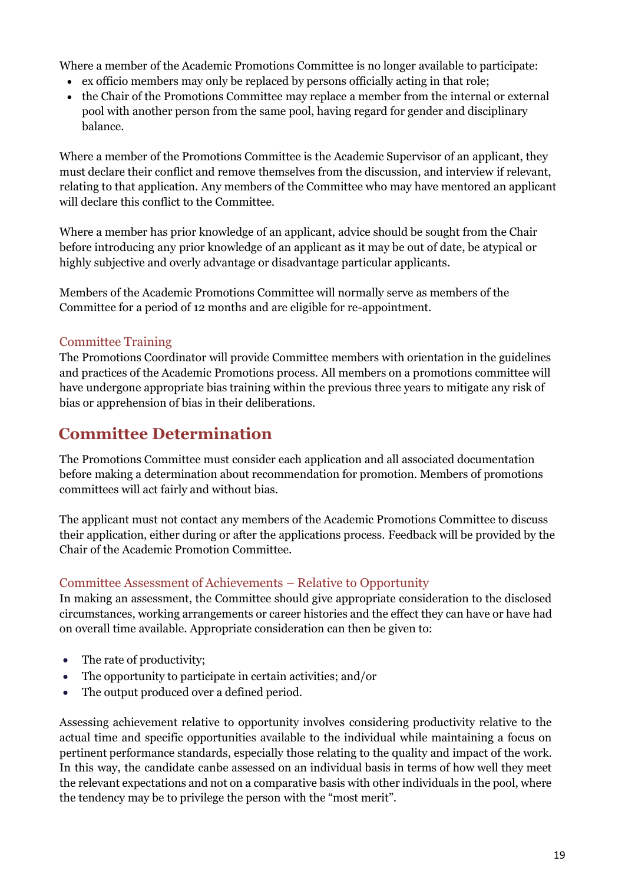Where a member of the Academic Promotions Committee is no longer available to participate:

- ex officio members may only be replaced by persons officially acting in that role;
- the Chair of the Promotions Committee may replace a member from the internal or external pool with another person from the same pool, having regard for gender and disciplinary balance.

Where a member of the Promotions Committee is the Academic Supervisor of an applicant, they must declare their conflict and remove themselves from the discussion, and interview if relevant, relating to that application. Any members of the Committee who may have mentored an applicant will declare this conflict to the Committee.

Where a member has prior knowledge of an applicant, advice should be sought from the Chair before introducing any prior knowledge of an applicant as it may be out of date, be atypical or highly subjective and overly advantage or disadvantage particular applicants.

Members of the Academic Promotions Committee will normally serve as members of the Committee for a period of 12 months and are eligible for re-appointment.

#### <span id="page-18-0"></span>Committee Training

The Promotions Coordinator will provide Committee members with orientation in the guidelines and practices of the Academic Promotions process. All members on a promotions committee will have undergone appropriate bias training within the previous three years to mitigate any risk of bias or apprehension of bias in their deliberations.

## <span id="page-18-1"></span>**Committee Determination**

The Promotions Committee must consider each application and all associated documentation before making a determination about recommendation for promotion. Members of promotions committees will act fairly and without bias.

The applicant must not contact any members of the Academic Promotions Committee to discuss their application, either during or after the applications process. Feedback will be provided by the Chair of the Academic Promotion Committee.

#### <span id="page-18-2"></span>Committee Assessment of Achievements – Relative to Opportunity

In making an assessment, the Committee should give appropriate consideration to the disclosed circumstances, working arrangements or career histories and the effect they can have or have had on overall time available. Appropriate consideration can then be given to:

- The rate of productivity;
- The opportunity to participate in certain activities; and/or
- The output produced over a defined period.

Assessing achievement relative to opportunity involves considering productivity relative to the actual time and specific opportunities available to the individual while maintaining a focus on pertinent performance standards, especially those relating to the quality and impact of the work. In this way, the candidate canbe assessed on an individual basis in terms of how well they meet the relevant expectations and not on a comparative basis with other individuals in the pool, where the tendency may be to privilege the person with the "most merit".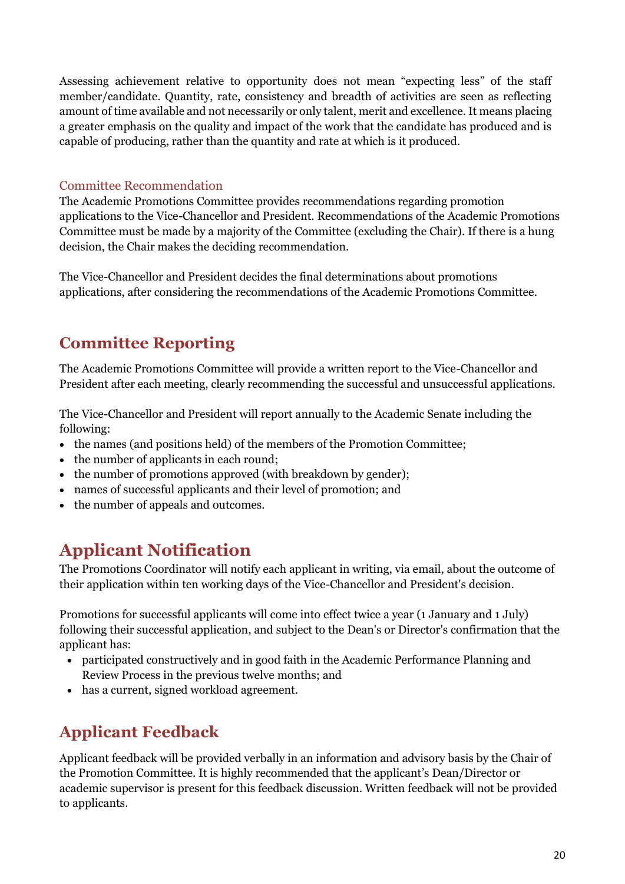Assessing achievement relative to opportunity does not mean "expecting less" of the staff member/candidate. Quantity, rate, consistency and breadth of activities are seen as reflecting amount of time available and not necessarily or only talent, merit and excellence. It means placing a greater emphasis on the quality and impact of the work that the candidate has produced and is capable of producing, rather than the quantity and rate at which is it produced.

#### <span id="page-19-0"></span>Committee Recommendation

The Academic Promotions Committee provides recommendations regarding promotion applications to the Vice-Chancellor and President. Recommendations of the Academic Promotions Committee must be made by a majority of the Committee (excluding the Chair). If there is a hung decision, the Chair makes the deciding recommendation.

The Vice-Chancellor and President decides the final determinations about promotions applications, after considering the recommendations of the Academic Promotions Committee.

## <span id="page-19-1"></span>**Committee Reporting**

The Academic Promotions Committee will provide a written report to the Vice-Chancellor and President after each meeting, clearly recommending the successful and unsuccessful applications.

The Vice-Chancellor and President will report annually to the Academic Senate including the following:

- the names (and positions held) of the members of the Promotion Committee;
- the number of applicants in each round;
- the number of promotions approved (with breakdown by gender);
- names of successful applicants and their level of promotion; and
- the number of appeals and outcomes.

## <span id="page-19-2"></span>**Applicant Notification**

The Promotions Coordinator will notify each applicant in writing, via email, about the outcome of their application within ten working days of the Vice-Chancellor and President's decision.

Promotions for successful applicants will come into effect twice a year (1 January and 1 July) following their successful application, and subject to the Dean's or Director's confirmation that the applicant has:

- participated constructively and in good faith in the Academic Performance Planning and Review Process in the previous twelve months; and
- has a current, signed workload agreement.

## <span id="page-19-3"></span>**Applicant Feedback**

Applicant feedback will be provided verbally in an information and advisory basis by the Chair of the Promotion Committee. It is highly recommended that the applicant's Dean/Director or academic supervisor is present for this feedback discussion. Written feedback will not be provided to applicants.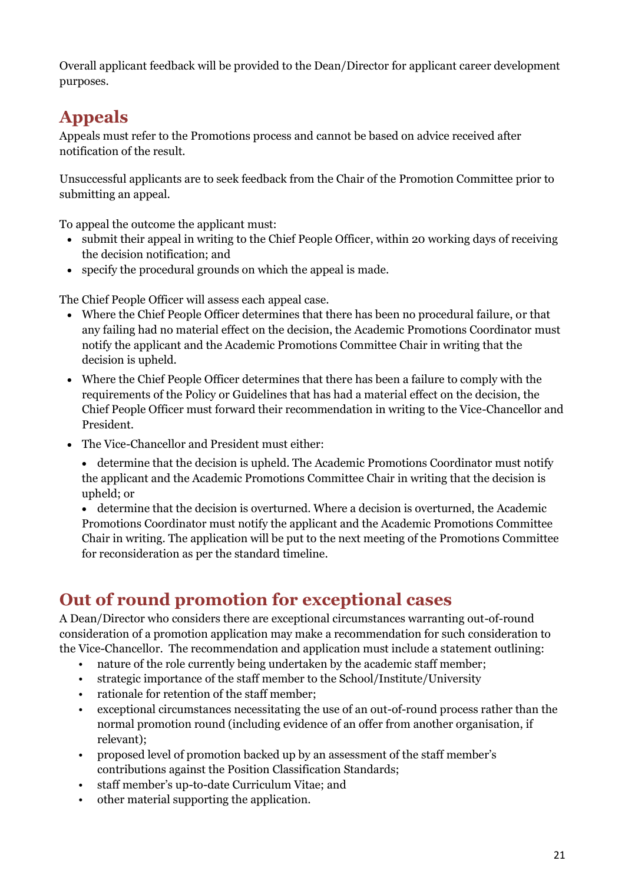Overall applicant feedback will be provided to the Dean/Director for applicant career development purposes.

# <span id="page-20-0"></span>**Appeals**

Appeals must refer to the Promotions process and cannot be based on advice received after notification of the result.

Unsuccessful applicants are to seek feedback from the Chair of the Promotion Committee prior to submitting an appeal.

To appeal the outcome the applicant must:

- submit their appeal in writing to the Chief People Officer, within 20 working days of receiving the decision notification; and
- specify the procedural grounds on which the appeal is made.

The Chief People Officer will assess each appeal case.

- Where the Chief People Officer determines that there has been no procedural failure, or that any failing had no material effect on the decision, the Academic Promotions Coordinator must notify the applicant and the Academic Promotions Committee Chair in writing that the decision is upheld.
- Where the Chief People Officer determines that there has been a failure to comply with the requirements of the Policy or Guidelines that has had a material effect on the decision, the Chief People Officer must forward their recommendation in writing to the Vice-Chancellor and President.
- The Vice-Chancellor and President must either:
	- determine that the decision is upheld. The Academic Promotions Coordinator must notify the applicant and the Academic Promotions Committee Chair in writing that the decision is upheld; or
	- determine that the decision is overturned. Where a decision is overturned, the Academic Promotions Coordinator must notify the applicant and the Academic Promotions Committee Chair in writing. The application will be put to the next meeting of the Promotions Committee for reconsideration as per the standard timeline.

# <span id="page-20-1"></span>**Out of round promotion for exceptional cases**

A Dean/Director who considers there are exceptional circumstances warranting out-of-round consideration of a promotion application may make a recommendation for such consideration to the Vice-Chancellor. The recommendation and application must include a statement outlining:

- nature of the role currently being undertaken by the academic staff member;
- strategic importance of the staff member to the School/Institute/University
- rationale for retention of the staff member;
- exceptional circumstances necessitating the use of an out-of-round process rather than the normal promotion round (including evidence of an offer from another organisation, if relevant);
- proposed level of promotion backed up by an assessment of the staff member's contributions against the Position Classification Standards;
- staff member's up-to-date Curriculum Vitae; and
- other material supporting the application.